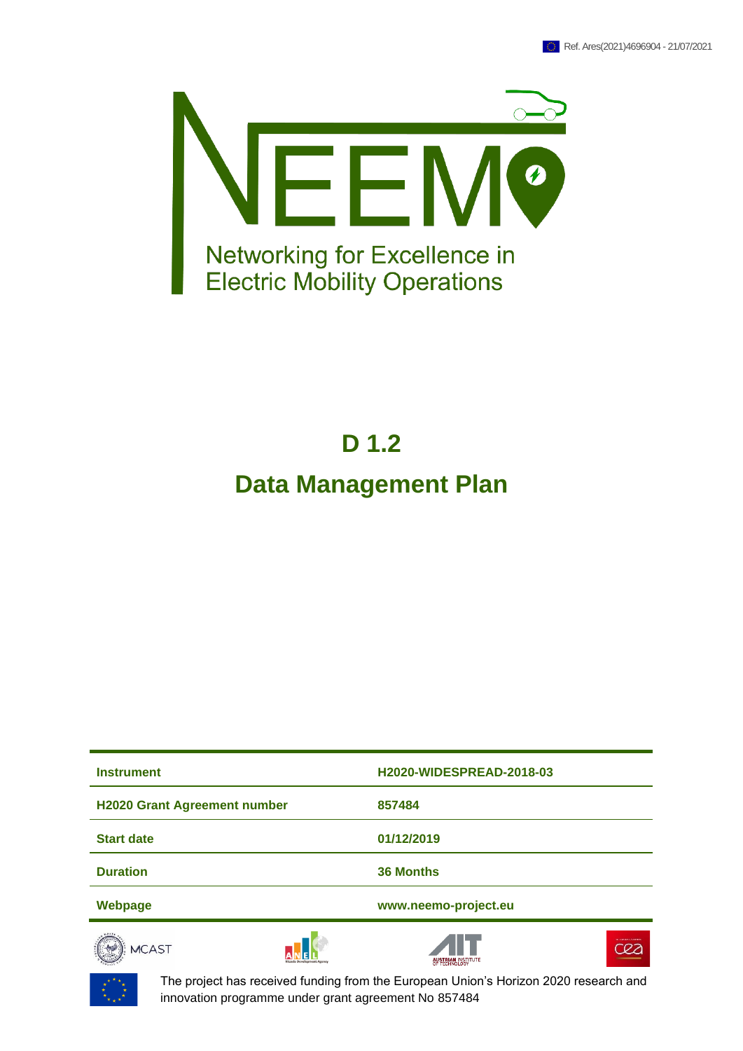

# **D 1.2**

## **Data Management Plan**

| <b>Instrument</b>                   | <b>H2020-WIDESPREAD-2018-03</b>               |
|-------------------------------------|-----------------------------------------------|
| <b>H2020 Grant Agreement number</b> | 857484                                        |
| <b>Start date</b>                   | 01/12/2019                                    |
| <b>Duration</b>                     | <b>36 Months</b>                              |
| Webpage                             | www.neemo-project.eu                          |
| <b>MCAST</b>                        | <b>NUMBER OF STREET</b><br>AUSTRIAN INSTITUTE |



The project has received funding from the European Union's Horizon 2020 research and innovation programme under grant agreement No 857484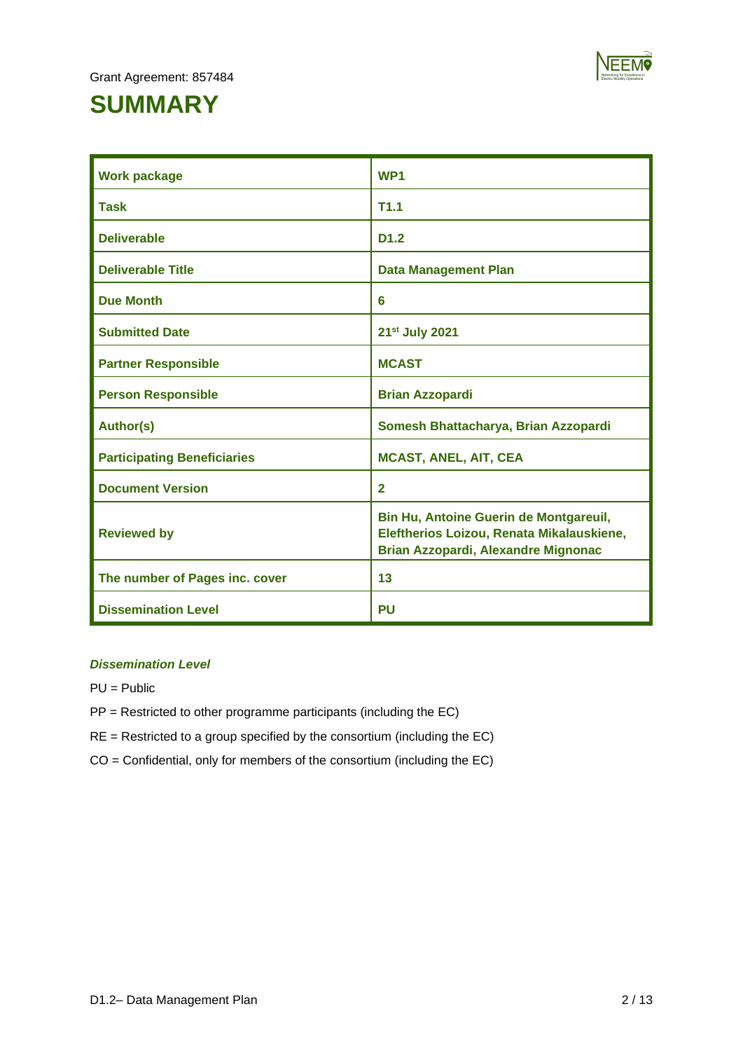

# **SUMMARY**

| <b>Work package</b>                | WP <sub>1</sub>                                                                                                                   |
|------------------------------------|-----------------------------------------------------------------------------------------------------------------------------------|
| <b>Task</b>                        | T1.1                                                                                                                              |
| <b>Deliverable</b>                 | D <sub>1.2</sub>                                                                                                                  |
| <b>Deliverable Title</b>           | <b>Data Management Plan</b>                                                                                                       |
| <b>Due Month</b>                   | 6                                                                                                                                 |
| <b>Submitted Date</b>              | 21 <sup>st</sup> July 2021                                                                                                        |
| <b>Partner Responsible</b>         | <b>MCAST</b>                                                                                                                      |
| <b>Person Responsible</b>          | <b>Brian Azzopardi</b>                                                                                                            |
| <b>Author(s)</b>                   | Somesh Bhattacharya, Brian Azzopardi                                                                                              |
| <b>Participating Beneficiaries</b> | <b>MCAST, ANEL, AIT, CEA</b>                                                                                                      |
| <b>Document Version</b>            | $\overline{2}$                                                                                                                    |
| <b>Reviewed by</b>                 | Bin Hu, Antoine Guerin de Montgareuil,<br>Eleftherios Loizou, Renata Mikalauskiene,<br><b>Brian Azzopardi, Alexandre Mignonac</b> |
| The number of Pages inc. cover     | 13                                                                                                                                |
| <b>Dissemination Level</b>         | <b>PU</b>                                                                                                                         |

#### *Dissemination Level*

PU = Public

- PP = Restricted to other programme participants (including the EC)
- RE = Restricted to a group specified by the consortium (including the EC)
- CO = Confidential, only for members of the consortium (including the EC)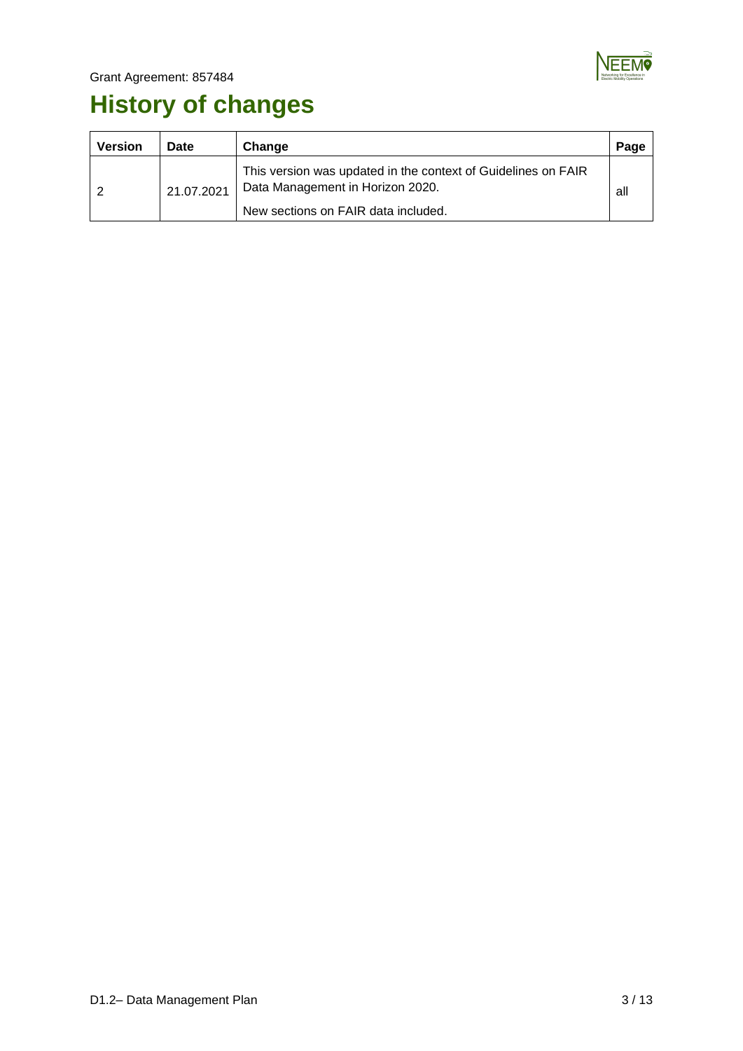

# **History of changes**

| <b>Version</b> | Date       | Change                                                                                                                                   | Page |
|----------------|------------|------------------------------------------------------------------------------------------------------------------------------------------|------|
|                | 21.07.2021 | This version was updated in the context of Guidelines on FAIR<br>Data Management in Horizon 2020.<br>New sections on FAIR data included. | all  |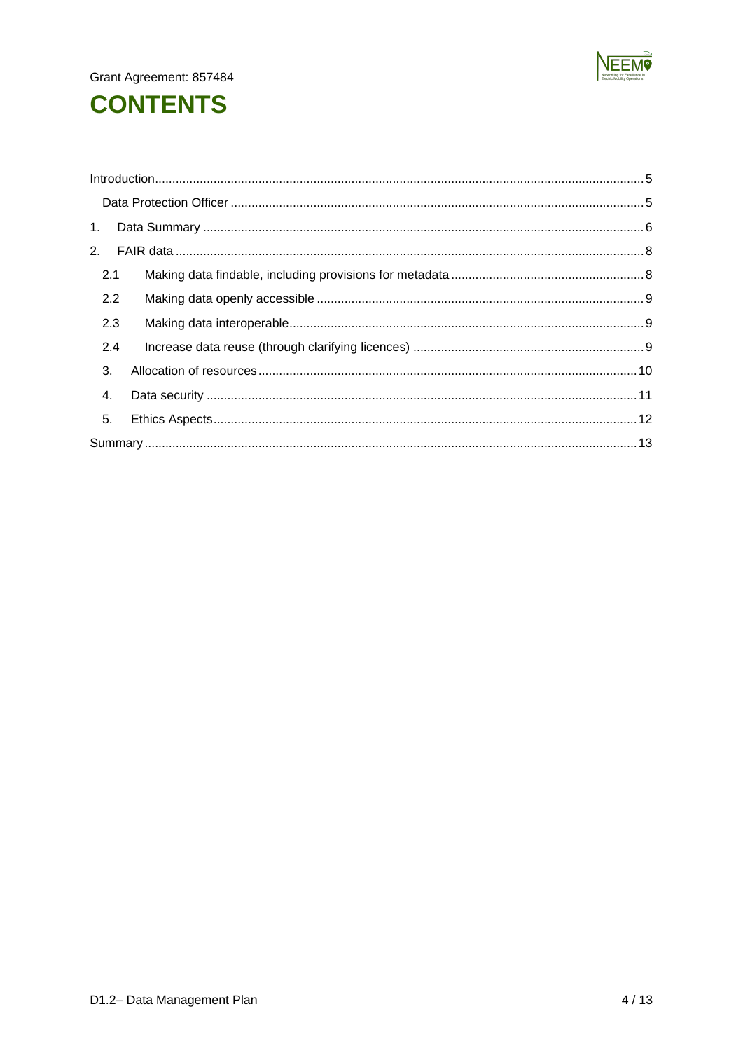

# **CONTENTS**

| 2.1 |  |
|-----|--|
| 2.2 |  |
| 2.3 |  |
| 2.4 |  |
| 3.  |  |
| 4.  |  |
| 5.  |  |
|     |  |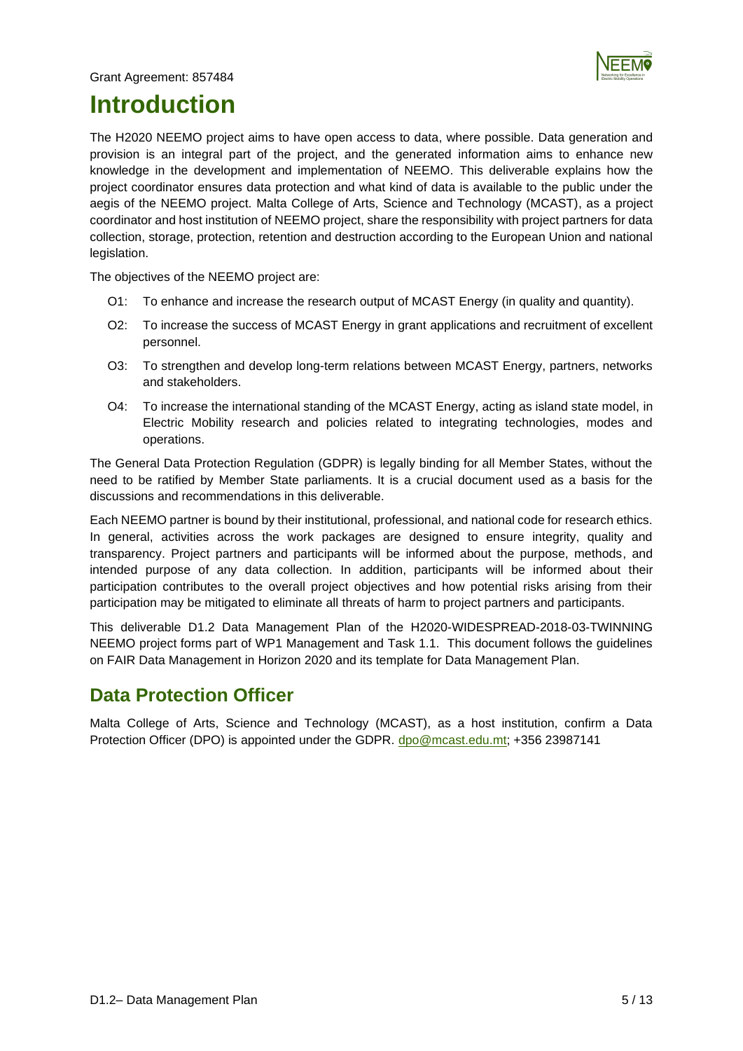

## <span id="page-4-0"></span>**Introduction**

The H2020 NEEMO project aims to have open access to data, where possible. Data generation and provision is an integral part of the project, and the generated information aims to enhance new knowledge in the development and implementation of NEEMO. This deliverable explains how the project coordinator ensures data protection and what kind of data is available to the public under the aegis of the NEEMO project. Malta College of Arts, Science and Technology (MCAST), as a project coordinator and host institution of NEEMO project, share the responsibility with project partners for data collection, storage, protection, retention and destruction according to the European Union and national legislation.

The objectives of the NEEMO project are:

- O1: To enhance and increase the research output of MCAST Energy (in quality and quantity).
- O2: To increase the success of MCAST Energy in grant applications and recruitment of excellent personnel.
- O3: To strengthen and develop long-term relations between MCAST Energy, partners, networks and stakeholders.
- O4: To increase the international standing of the MCAST Energy, acting as island state model, in Electric Mobility research and policies related to integrating technologies, modes and operations.

The General Data Protection Regulation (GDPR) is legally binding for all Member States, without the need to be ratified by Member State parliaments. It is a crucial document used as a basis for the discussions and recommendations in this deliverable.

Each NEEMO partner is bound by their institutional, professional, and national code for research ethics. In general, activities across the work packages are designed to ensure integrity, quality and transparency. Project partners and participants will be informed about the purpose, methods, and intended purpose of any data collection. In addition, participants will be informed about their participation contributes to the overall project objectives and how potential risks arising from their participation may be mitigated to eliminate all threats of harm to project partners and participants.

This deliverable D1.2 Data Management Plan of the H2020-WIDESPREAD-2018-03-TWINNING NEEMO project forms part of WP1 Management and Task 1.1. This document follows the guidelines on FAIR Data Management in Horizon 2020 and its template for Data Management Plan.

## <span id="page-4-1"></span>**Data Protection Officer**

Malta College of Arts, Science and Technology (MCAST), as a host institution, confirm a Data Protection Officer (DPO) is appointed under the GDPR. dpo@mcast.edu.mt; +356 23987141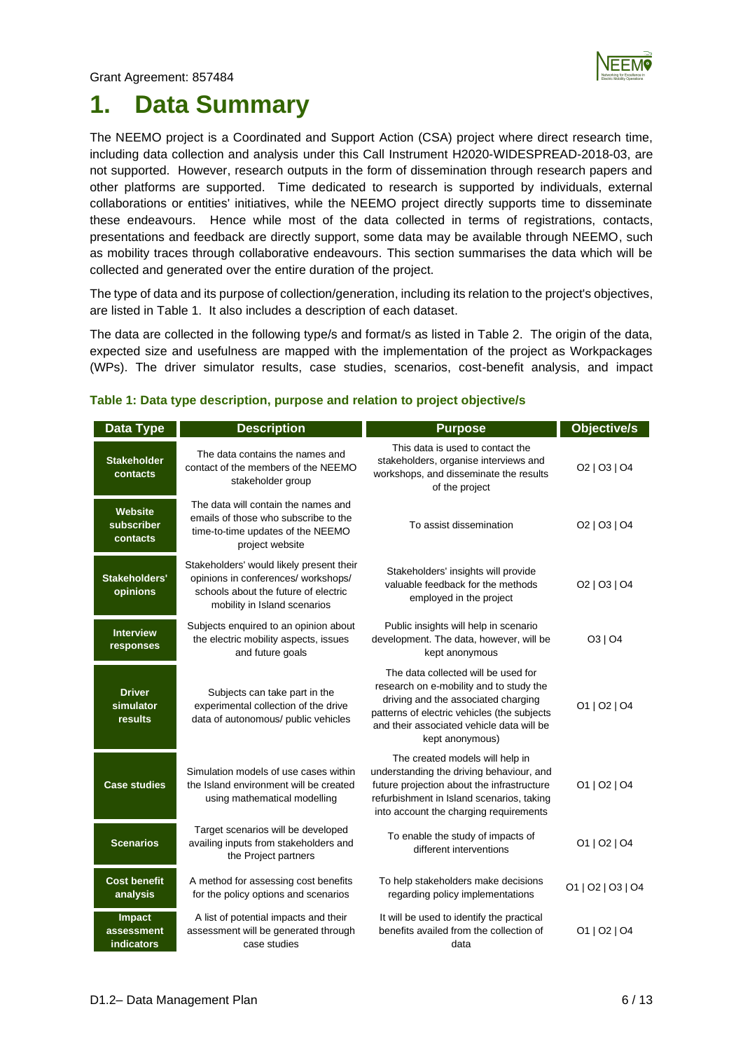

## <span id="page-5-0"></span>**1. Data Summary**

The NEEMO project is a Coordinated and Support Action (CSA) project where direct research time, including data collection and analysis under this Call Instrument H2020-WIDESPREAD-2018-03, are not supported. However, research outputs in the form of dissemination through research papers and other platforms are supported. Time dedicated to research is supported by individuals, external collaborations or entities' initiatives, while the NEEMO project directly supports time to disseminate these endeavours. Hence while most of the data collected in terms of registrations, contacts, presentations and feedback are directly support, some data may be available through NEEMO, such as mobility traces through collaborative endeavours. This section summarises the data which will be collected and generated over the entire duration of the project.

The type of data and its purpose of collection/generation, including its relation to the project's objectives, are listed in Table 1. It also includes a description of each dataset.

The data are collected in the following type/s and format/s as listed in Table 2. The origin of the data, expected size and usefulness are mapped with the implementation of the project as Workpackages (WPs). The driver simulator results, case studies, scenarios, cost-benefit analysis, and impact

| <b>Data Type</b>                          | <b>Description</b>                                                                                                                                      | <b>Purpose</b>                                                                                                                                                                                                                       | <b>Objective/s</b>                               |
|-------------------------------------------|---------------------------------------------------------------------------------------------------------------------------------------------------------|--------------------------------------------------------------------------------------------------------------------------------------------------------------------------------------------------------------------------------------|--------------------------------------------------|
| <b>Stakeholder</b><br>contacts            | The data contains the names and<br>contact of the members of the NEEMO<br>stakeholder group                                                             | This data is used to contact the<br>stakeholders, organise interviews and<br>workshops, and disseminate the results<br>of the project                                                                                                | O <sub>2</sub>   O <sub>3</sub>   O <sub>4</sub> |
| <b>Website</b><br>subscriber<br>contacts  | The data will contain the names and<br>emails of those who subscribe to the<br>time-to-time updates of the NEEMO<br>project website                     | To assist dissemination                                                                                                                                                                                                              | O2   O3   O4                                     |
| Stakeholders'<br>opinions                 | Stakeholders' would likely present their<br>opinions in conferences/ workshops/<br>schools about the future of electric<br>mobility in Island scenarios | Stakeholders' insights will provide<br>valuable feedback for the methods<br>employed in the project                                                                                                                                  | O2   O3   O4                                     |
| <b>Interview</b><br>responses             | Subjects enquired to an opinion about<br>the electric mobility aspects, issues<br>and future goals                                                      | Public insights will help in scenario<br>development. The data, however, will be<br>kept anonymous                                                                                                                                   | O3   O4                                          |
| <b>Driver</b><br>simulator<br>results     | Subjects can take part in the<br>experimental collection of the drive<br>data of autonomous/ public vehicles                                            | The data collected will be used for<br>research on e-mobility and to study the<br>driving and the associated charging<br>patterns of electric vehicles (the subjects<br>and their associated vehicle data will be<br>kept anonymous) | 01   02   04                                     |
| <b>Case studies</b>                       | Simulation models of use cases within<br>the Island environment will be created<br>using mathematical modelling                                         | The created models will help in<br>understanding the driving behaviour, and<br>future projection about the infrastructure<br>refurbishment in Island scenarios, taking<br>into account the charging requirements                     | 01   02   04                                     |
| <b>Scenarios</b>                          | Target scenarios will be developed<br>availing inputs from stakeholders and<br>the Project partners                                                     | To enable the study of impacts of<br>different interventions                                                                                                                                                                         | 01   02   04                                     |
| <b>Cost benefit</b><br>analysis           | A method for assessing cost benefits<br>for the policy options and scenarios                                                                            | To help stakeholders make decisions<br>regarding policy implementations                                                                                                                                                              | 01   02   03   04                                |
| Impact<br>assessment<br><b>indicators</b> | A list of potential impacts and their<br>assessment will be generated through<br>case studies                                                           | It will be used to identify the practical<br>benefits availed from the collection of<br>data                                                                                                                                         | 01   02   04                                     |

#### **Table 1: Data type description, purpose and relation to project objective/s**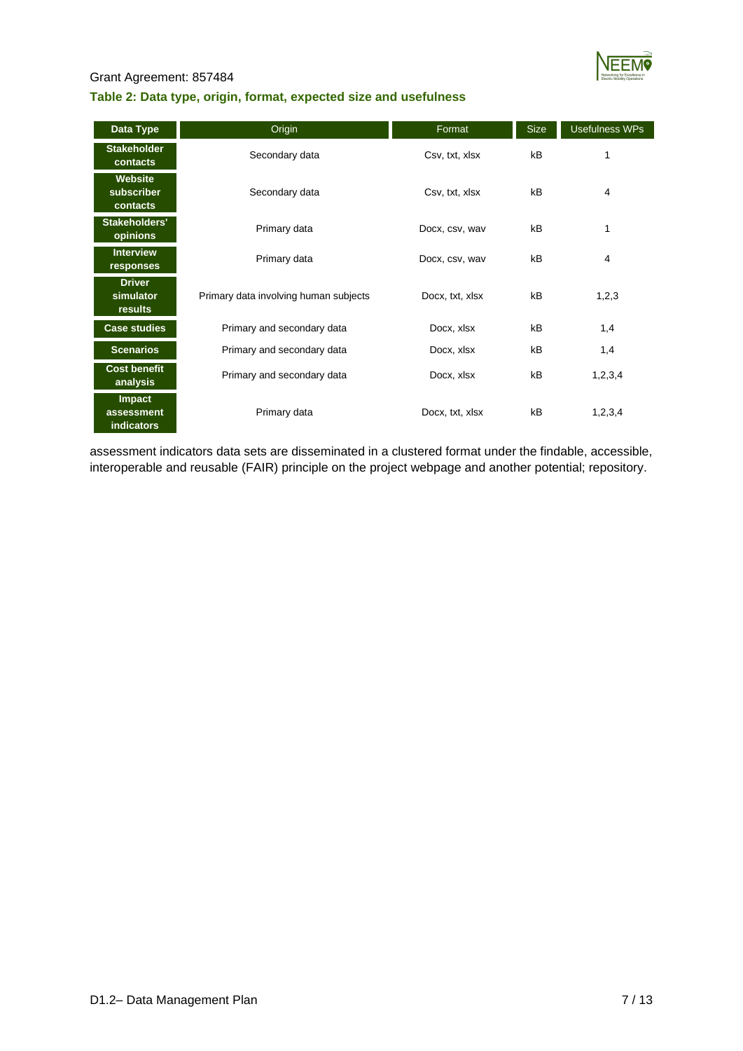

#### **Table 2: Data type, origin, format, expected size and usefulness**

| Data Type                                        | Origin                                | Format          | <b>Size</b> | <b>Usefulness WPs</b> |
|--------------------------------------------------|---------------------------------------|-----------------|-------------|-----------------------|
| <b>Stakeholder</b><br>contacts                   | Secondary data                        | Csv, txt, xlsx  | kB          | 1                     |
| Website<br>subscriber<br>contacts                | Secondary data                        | Csv, txt, xlsx  | kB          | $\overline{4}$        |
| Stakeholders'<br>opinions                        | Primary data                          | Docx, csv, wav  | kB          | 1                     |
| <b>Interview</b><br>responses                    | Primary data                          | Docx, csv, wav  | kB          | 4                     |
| <b>Driver</b><br>simulator<br>results            | Primary data involving human subjects | Docx, txt, xlsx | kB          | 1,2,3                 |
| <b>Case studies</b>                              | Primary and secondary data            | Docx, xlsx      | kB          | 1,4                   |
| <b>Scenarios</b>                                 | Primary and secondary data            | Docx, xlsx      | kB          | 1,4                   |
| <b>Cost benefit</b><br>analysis                  | Primary and secondary data            | Docx, xlsx      | kB          | 1,2,3,4               |
| <b>Impact</b><br>assessment<br><b>indicators</b> | Primary data                          | Docx, txt, xlsx | kB          | 1, 2, 3, 4            |

assessment indicators data sets are disseminated in a clustered format under the findable, accessible, interoperable and reusable (FAIR) principle on the project webpage and another potential; repository.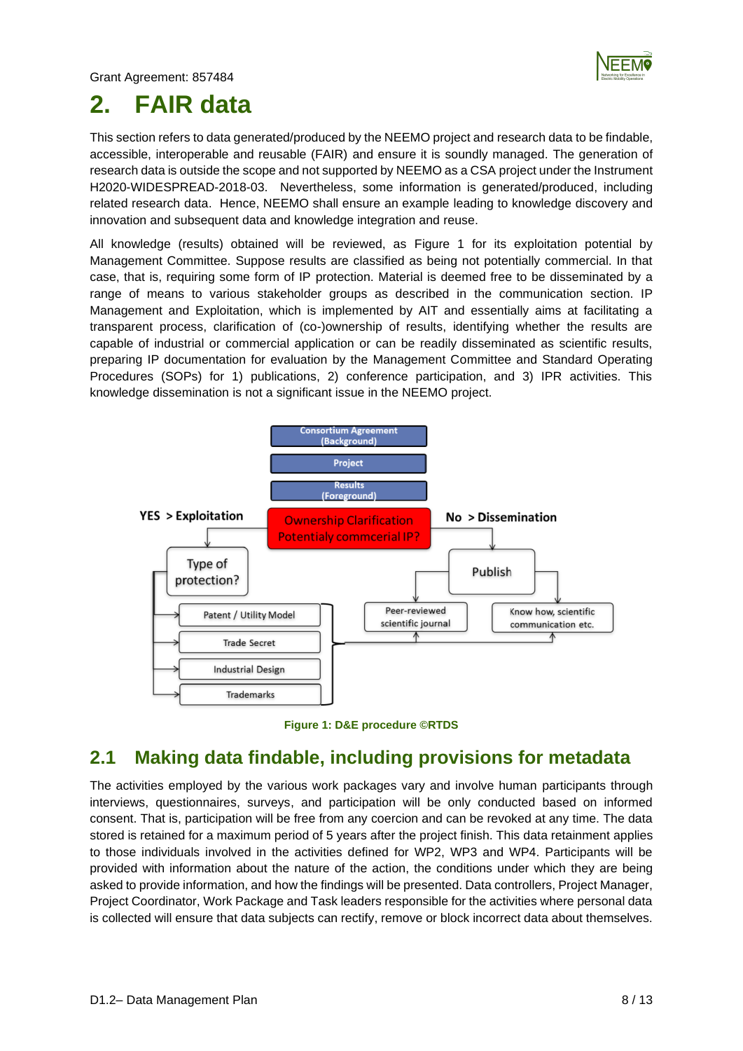

## <span id="page-7-0"></span>**2. FAIR data**

This section refers to data generated/produced by the NEEMO project and research data to be findable, accessible, interoperable and reusable (FAIR) and ensure it is soundly managed. The generation of research data is outside the scope and not supported by NEEMO as a CSA project under the Instrument H2020-WIDESPREAD-2018-03. Nevertheless, some information is generated/produced, including related research data. Hence, NEEMO shall ensure an example leading to knowledge discovery and innovation and subsequent data and knowledge integration and reuse.

All knowledge (results) obtained will be reviewed, as Figure 1 for its exploitation potential by Management Committee. Suppose results are classified as being not potentially commercial. In that case, that is, requiring some form of IP protection. Material is deemed free to be disseminated by a range of means to various stakeholder groups as described in the communication section. IP Management and Exploitation, which is implemented by AIT and essentially aims at facilitating a transparent process, clarification of (co-)ownership of results, identifying whether the results are capable of industrial or commercial application or can be readily disseminated as scientific results, preparing IP documentation for evaluation by the Management Committee and Standard Operating Procedures (SOPs) for 1) publications, 2) conference participation, and 3) IPR activities. This knowledge dissemination is not a significant issue in the NEEMO project.





## <span id="page-7-1"></span>**2.1 Making data findable, including provisions for metadata**

The activities employed by the various work packages vary and involve human participants through interviews, questionnaires, surveys, and participation will be only conducted based on informed consent. That is, participation will be free from any coercion and can be revoked at any time. The data stored is retained for a maximum period of 5 years after the project finish. This data retainment applies to those individuals involved in the activities defined for WP2, WP3 and WP4. Participants will be provided with information about the nature of the action, the conditions under which they are being asked to provide information, and how the findings will be presented. Data controllers, Project Manager, Project Coordinator, Work Package and Task leaders responsible for the activities where personal data is collected will ensure that data subjects can rectify, remove or block incorrect data about themselves.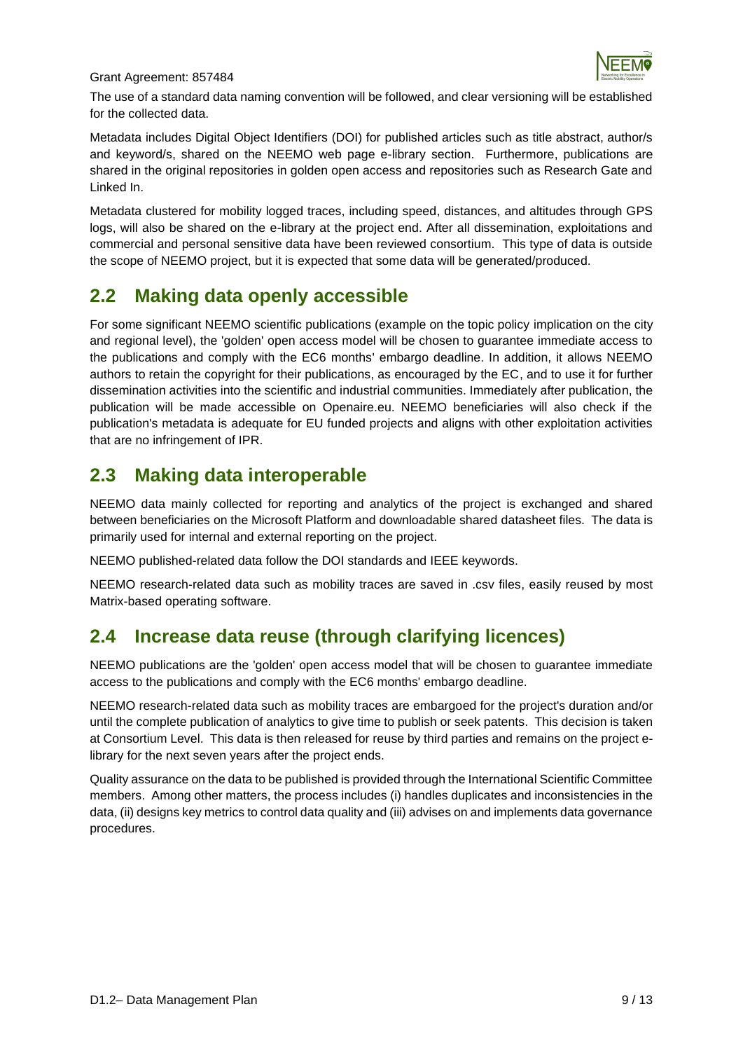

The use of a standard data naming convention will be followed, and clear versioning will be established for the collected data.

Metadata includes Digital Object Identifiers (DOI) for published articles such as title abstract, author/s and keyword/s, shared on the NEEMO web page e-library section. Furthermore, publications are shared in the original repositories in golden open access and repositories such as Research Gate and Linked In.

Metadata clustered for mobility logged traces, including speed, distances, and altitudes through GPS logs, will also be shared on the e-library at the project end. After all dissemination, exploitations and commercial and personal sensitive data have been reviewed consortium. This type of data is outside the scope of NEEMO project, but it is expected that some data will be generated/produced.

### <span id="page-8-0"></span>**2.2 Making data openly accessible**

For some significant NEEMO scientific publications (example on the topic policy implication on the city and regional level), the 'golden' open access model will be chosen to guarantee immediate access to the publications and comply with the EC6 months' embargo deadline. In addition, it allows NEEMO authors to retain the copyright for their publications, as encouraged by the EC, and to use it for further dissemination activities into the scientific and industrial communities. Immediately after publication, the publication will be made accessible on Openaire.eu. NEEMO beneficiaries will also check if the publication's metadata is adequate for EU funded projects and aligns with other exploitation activities that are no infringement of IPR.

## <span id="page-8-1"></span>**2.3 Making data interoperable**

NEEMO data mainly collected for reporting and analytics of the project is exchanged and shared between beneficiaries on the Microsoft Platform and downloadable shared datasheet files. The data is primarily used for internal and external reporting on the project.

NEEMO published-related data follow the DOI standards and IEEE keywords.

NEEMO research-related data such as mobility traces are saved in .csv files, easily reused by most Matrix-based operating software.

## <span id="page-8-2"></span>**2.4 Increase data reuse (through clarifying licences)**

NEEMO publications are the 'golden' open access model that will be chosen to guarantee immediate access to the publications and comply with the EC6 months' embargo deadline.

NEEMO research-related data such as mobility traces are embargoed for the project's duration and/or until the complete publication of analytics to give time to publish or seek patents. This decision is taken at Consortium Level. This data is then released for reuse by third parties and remains on the project elibrary for the next seven years after the project ends.

Quality assurance on the data to be published is provided through the International Scientific Committee members. Among other matters, the process includes (i) handles duplicates and inconsistencies in the data, (ii) designs key metrics to control data quality and (iii) advises on and implements data governance procedures.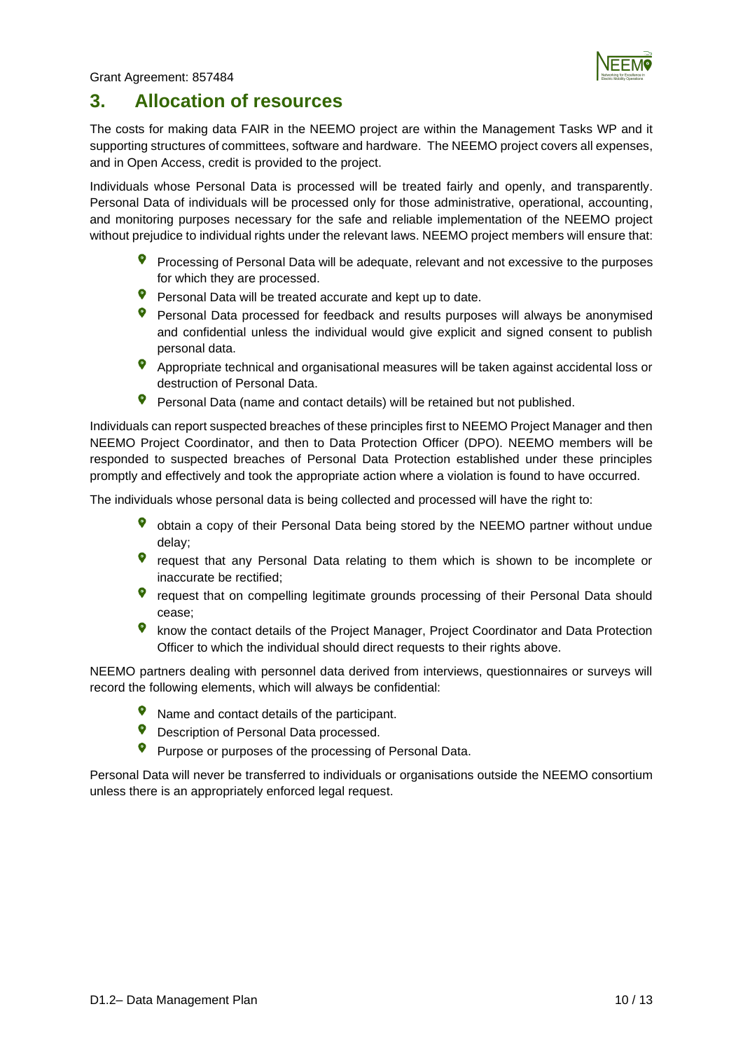

### <span id="page-9-0"></span>**3. Allocation of resources**

The costs for making data FAIR in the NEEMO project are within the Management Tasks WP and it supporting structures of committees, software and hardware. The NEEMO project covers all expenses, and in Open Access, credit is provided to the project.

Individuals whose Personal Data is processed will be treated fairly and openly, and transparently. Personal Data of individuals will be processed only for those administrative, operational, accounting, and monitoring purposes necessary for the safe and reliable implementation of the NEEMO project without prejudice to individual rights under the relevant laws. NEEMO project members will ensure that:

- Processing of Personal Data will be adequate, relevant and not excessive to the purposes for which they are processed.
- Personal Data will be treated accurate and kept up to date.
- Personal Data processed for feedback and results purposes will always be anonymised and confidential unless the individual would give explicit and signed consent to publish personal data.
- **9** Appropriate technical and organisational measures will be taken against accidental loss or destruction of Personal Data.
- $\bullet$ Personal Data (name and contact details) will be retained but not published.

Individuals can report suspected breaches of these principles first to NEEMO Project Manager and then NEEMO Project Coordinator, and then to Data Protection Officer (DPO). NEEMO members will be responded to suspected breaches of Personal Data Protection established under these principles promptly and effectively and took the appropriate action where a violation is found to have occurred.

The individuals whose personal data is being collected and processed will have the right to:

- obtain a copy of their Personal Data being stored by the NEEMO partner without undue delay;
- request that any Personal Data relating to them which is shown to be incomplete or inaccurate be rectified;
- request that on compelling legitimate grounds processing of their Personal Data should cease;
- know the contact details of the Project Manager, Project Coordinator and Data Protection Officer to which the individual should direct requests to their rights above.

NEEMO partners dealing with personnel data derived from interviews, questionnaires or surveys will record the following elements, which will always be confidential:

- Name and contact details of the participant.
- $\bullet$ Description of Personal Data processed.
- Purpose or purposes of the processing of Personal Data.

Personal Data will never be transferred to individuals or organisations outside the NEEMO consortium unless there is an appropriately enforced legal request.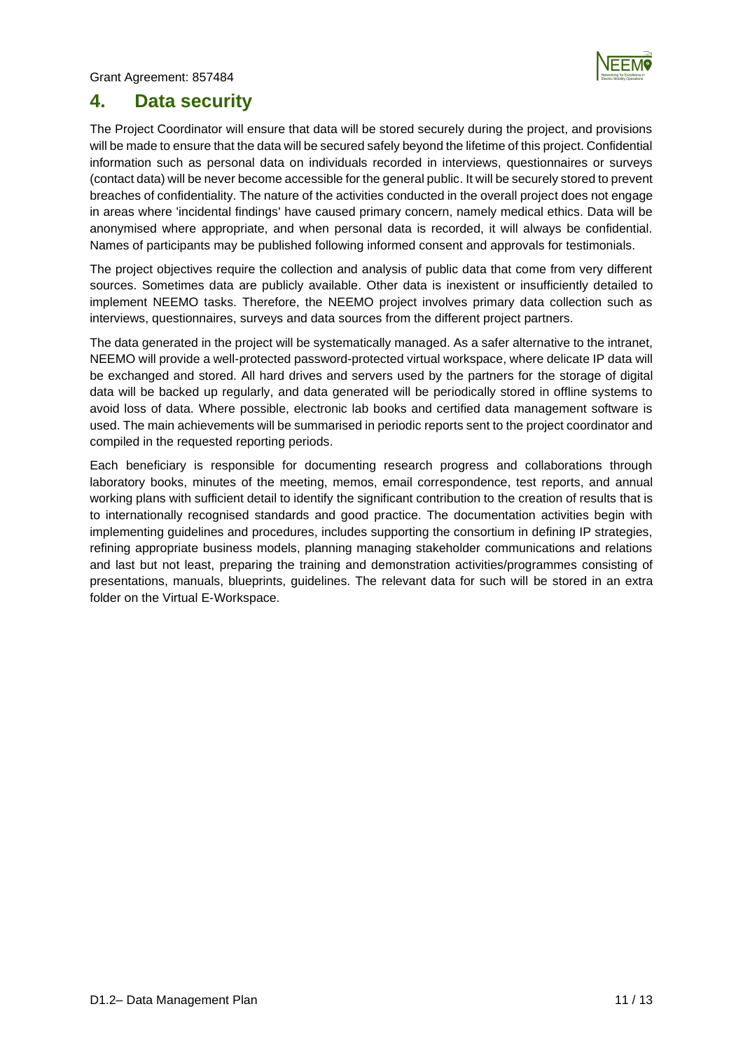

### <span id="page-10-0"></span>**4. Data security**

The Project Coordinator will ensure that data will be stored securely during the project, and provisions will be made to ensure that the data will be secured safely beyond the lifetime of this project. Confidential information such as personal data on individuals recorded in interviews, questionnaires or surveys (contact data) will be never become accessible for the general public. It will be securely stored to prevent breaches of confidentiality. The nature of the activities conducted in the overall project does not engage in areas where 'incidental findings' have caused primary concern, namely medical ethics. Data will be anonymised where appropriate, and when personal data is recorded, it will always be confidential. Names of participants may be published following informed consent and approvals for testimonials.

The project objectives require the collection and analysis of public data that come from very different sources. Sometimes data are publicly available. Other data is inexistent or insufficiently detailed to implement NEEMO tasks. Therefore, the NEEMO project involves primary data collection such as interviews, questionnaires, surveys and data sources from the different project partners.

The data generated in the project will be systematically managed. As a safer alternative to the intranet, NEEMO will provide a well-protected password-protected virtual workspace, where delicate IP data will be exchanged and stored. All hard drives and servers used by the partners for the storage of digital data will be backed up regularly, and data generated will be periodically stored in offline systems to avoid loss of data. Where possible, electronic lab books and certified data management software is used. The main achievements will be summarised in periodic reports sent to the project coordinator and compiled in the requested reporting periods.

Each beneficiary is responsible for documenting research progress and collaborations through laboratory books, minutes of the meeting, memos, email correspondence, test reports, and annual working plans with sufficient detail to identify the significant contribution to the creation of results that is to internationally recognised standards and good practice. The documentation activities begin with implementing guidelines and procedures, includes supporting the consortium in defining IP strategies, refining appropriate business models, planning managing stakeholder communications and relations and last but not least, preparing the training and demonstration activities/programmes consisting of presentations, manuals, blueprints, guidelines. The relevant data for such will be stored in an extra folder on the Virtual E-Workspace.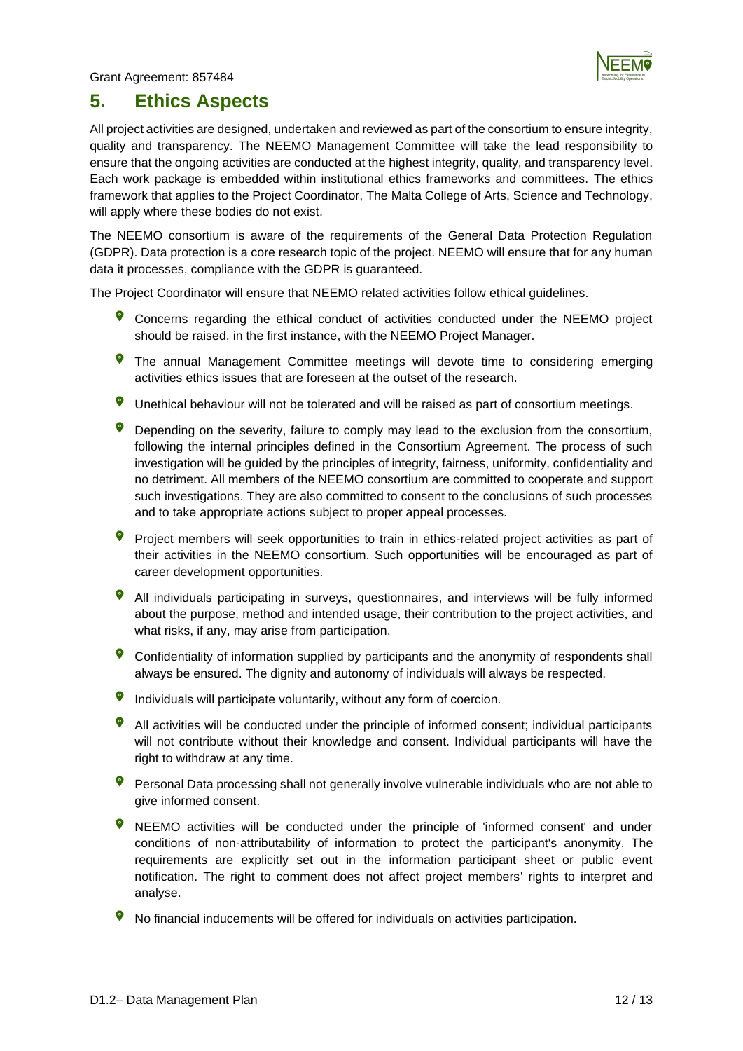

### <span id="page-11-0"></span>**5. Ethics Aspects**

All project activities are designed, undertaken and reviewed as part of the consortium to ensure integrity, quality and transparency. The NEEMO Management Committee will take the lead responsibility to ensure that the ongoing activities are conducted at the highest integrity, quality, and transparency level. Each work package is embedded within institutional ethics frameworks and committees. The ethics framework that applies to the Project Coordinator, The Malta College of Arts, Science and Technology, will apply where these bodies do not exist.

The NEEMO consortium is aware of the requirements of the General Data Protection Regulation (GDPR). Data protection is a core research topic of the project. NEEMO will ensure that for any human data it processes, compliance with the GDPR is guaranteed.

The Project Coordinator will ensure that NEEMO related activities follow ethical guidelines.

- Concerns regarding the ethical conduct of activities conducted under the NEEMO project should be raised, in the first instance, with the NEEMO Project Manager.
- The annual Management Committee meetings will devote time to considering emerging activities ethics issues that are foreseen at the outset of the research.
- $\bullet$ Unethical behaviour will not be tolerated and will be raised as part of consortium meetings.
- $\bullet$ Depending on the severity, failure to comply may lead to the exclusion from the consortium, following the internal principles defined in the Consortium Agreement. The process of such investigation will be guided by the principles of integrity, fairness, uniformity, confidentiality and no detriment. All members of the NEEMO consortium are committed to cooperate and support such investigations. They are also committed to consent to the conclusions of such processes and to take appropriate actions subject to proper appeal processes.
- Project members will seek opportunities to train in ethics-related project activities as part of their activities in the NEEMO consortium. Such opportunities will be encouraged as part of career development opportunities.
- All individuals participating in surveys, questionnaires, and interviews will be fully informed about the purpose, method and intended usage, their contribution to the project activities, and what risks, if any, may arise from participation.
- Confidentiality of information supplied by participants and the anonymity of respondents shall always be ensured. The dignity and autonomy of individuals will always be respected.
- $\bullet$ Individuals will participate voluntarily, without any form of coercion.
- All activities will be conducted under the principle of informed consent; individual participants will not contribute without their knowledge and consent. Individual participants will have the right to withdraw at any time.
- Personal Data processing shall not generally involve vulnerable individuals who are not able to give informed consent.
- $\bullet$ NEEMO activities will be conducted under the principle of 'informed consent' and under conditions of non-attributability of information to protect the participant's anonymity. The requirements are explicitly set out in the information participant sheet or public event notification. The right to comment does not affect project members' rights to interpret and analyse.
- No financial inducements will be offered for individuals on activities participation.